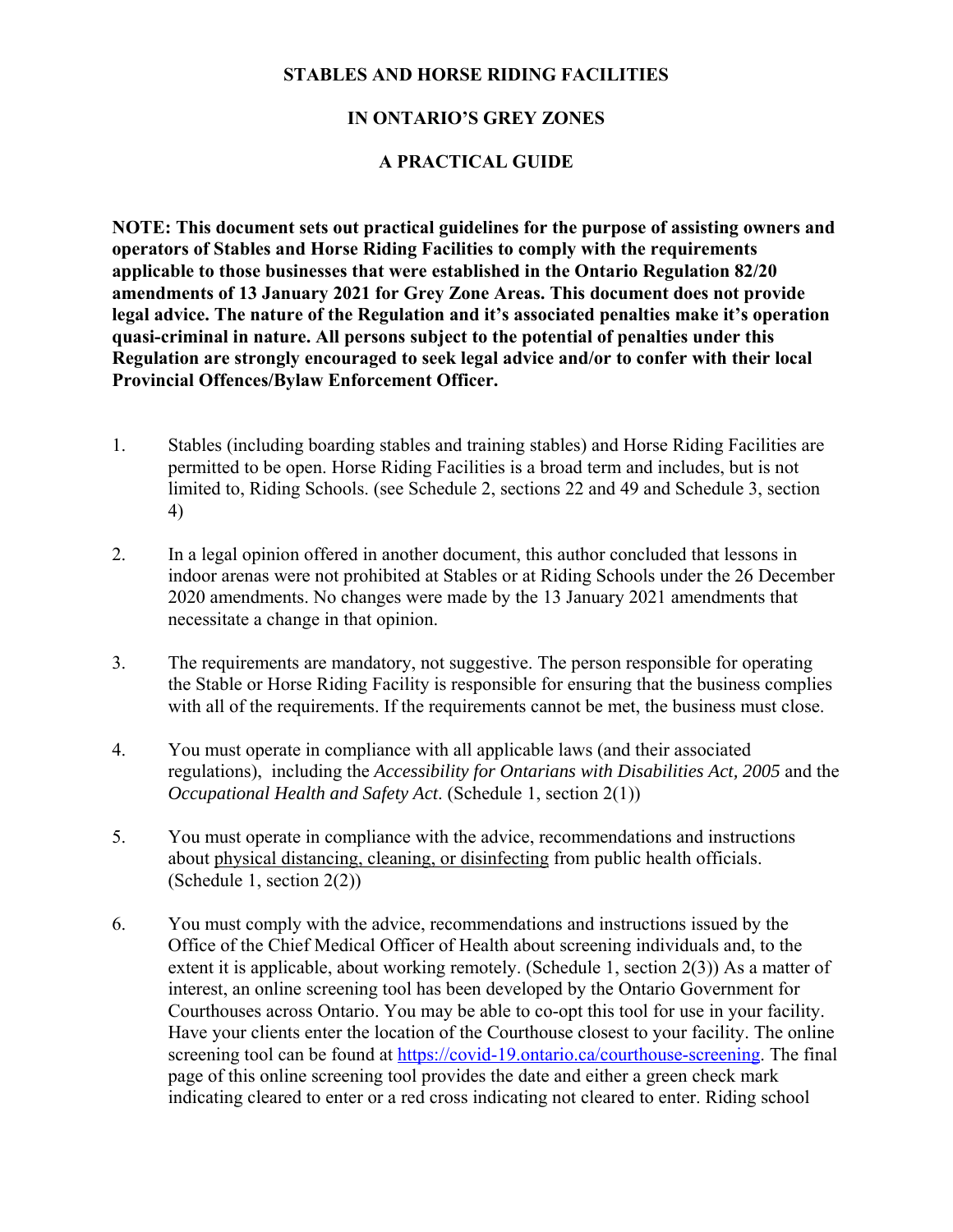## **STABLES AND HORSE RIDING FACILITIES**

## **IN ONTARIO'S GREY ZONES**

## **A PRACTICAL GUIDE**

**NOTE: This document sets out practical guidelines for the purpose of assisting owners and operators of Stables and Horse Riding Facilities to comply with the requirements applicable to those businesses that were established in the Ontario Regulation 82/20 amendments of 13 January 2021 for Grey Zone Areas. This document does not provide legal advice. The nature of the Regulation and it's associated penalties make it's operation quasi-criminal in nature. All persons subject to the potential of penalties under this Regulation are strongly encouraged to seek legal advice and/or to confer with their local Provincial Offences/Bylaw Enforcement Officer.** 

- 1. Stables (including boarding stables and training stables) and Horse Riding Facilities are permitted to be open. Horse Riding Facilities is a broad term and includes, but is not limited to, Riding Schools. (see Schedule 2, sections 22 and 49 and Schedule 3, section 4)
- 2. In a legal opinion offered in another document, this author concluded that lessons in indoor arenas were not prohibited at Stables or at Riding Schools under the 26 December 2020 amendments. No changes were made by the 13 January 2021 amendments that necessitate a change in that opinion.
- 3. The requirements are mandatory, not suggestive. The person responsible for operating the Stable or Horse Riding Facility is responsible for ensuring that the business complies with all of the requirements. If the requirements cannot be met, the business must close.
- 4. You must operate in compliance with all applicable laws (and their associated regulations), including the *Accessibility for Ontarians with Disabilities Act, 2005* and the *Occupational Health and Safety Act*. (Schedule 1, section 2(1))
- 5. You must operate in compliance with the advice, recommendations and instructions about physical distancing, cleaning, or disinfecting from public health officials. (Schedule 1, section 2(2))
- 6. You must comply with the advice, recommendations and instructions issued by the Office of the Chief Medical Officer of Health about screening individuals and, to the extent it is applicable, about working remotely. (Schedule 1, section 2(3)) As a matter of interest, an online screening tool has been developed by the Ontario Government for Courthouses across Ontario. You may be able to co-opt this tool for use in your facility. Have your clients enter the location of the Courthouse closest to your facility. The online screening tool can be found at https://covid-19.ontario.ca/courthouse-screening. The final page of this online screening tool provides the date and either a green check mark indicating cleared to enter or a red cross indicating not cleared to enter. Riding school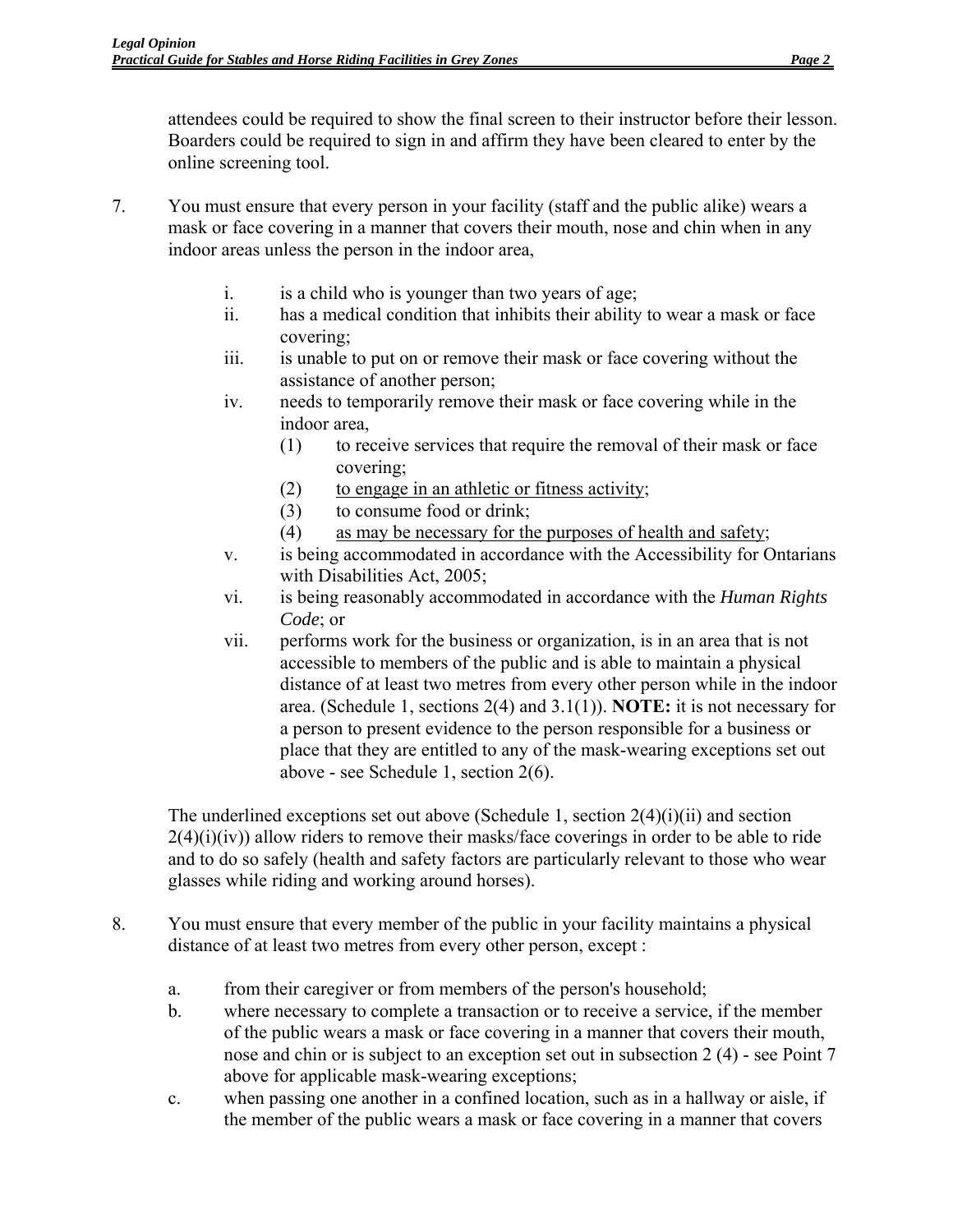attendees could be required to show the final screen to their instructor before their lesson. Boarders could be required to sign in and affirm they have been cleared to enter by the online screening tool.

- 7. You must ensure that every person in your facility (staff and the public alike) wears a mask or face covering in a manner that covers their mouth, nose and chin when in any indoor areas unless the person in the indoor area,
	- i. is a child who is younger than two years of age;
	- ii. has a medical condition that inhibits their ability to wear a mask or face covering;
	- iii. is unable to put on or remove their mask or face covering without the assistance of another person;
	- iv. needs to temporarily remove their mask or face covering while in the indoor area,
		- (1) to receive services that require the removal of their mask or face covering;
		- (2) to engage in an athletic or fitness activity;
		- (3) to consume food or drink;
		- (4) as may be necessary for the purposes of health and safety;
	- v. is being accommodated in accordance with the Accessibility for Ontarians with Disabilities Act, 2005;
	- vi. is being reasonably accommodated in accordance with the *Human Rights Code*; or
	- vii. performs work for the business or organization, is in an area that is not accessible to members of the public and is able to maintain a physical distance of at least two metres from every other person while in the indoor area. (Schedule 1, sections 2(4) and 3.1(1)). **NOTE:** it is not necessary for a person to present evidence to the person responsible for a business or place that they are entitled to any of the mask-wearing exceptions set out above - see Schedule 1, section 2(6).

The underlined exceptions set out above (Schedule 1, section  $2(4)(i)(ii)$  and section  $2(4)(i)(iv)$ ) allow riders to remove their masks/face coverings in order to be able to ride and to do so safely (health and safety factors are particularly relevant to those who wear glasses while riding and working around horses).

- 8. You must ensure that every member of the public in your facility maintains a physical distance of at least two metres from every other person, except :
	- a. from their caregiver or from members of the person's household;
	- b. where necessary to complete a transaction or to receive a service, if the member of the public wears a mask or face covering in a manner that covers their mouth, nose and chin or is subject to an exception set out in subsection 2 (4) - see Point 7 above for applicable mask-wearing exceptions;
	- c. when passing one another in a confined location, such as in a hallway or aisle, if the member of the public wears a mask or face covering in a manner that covers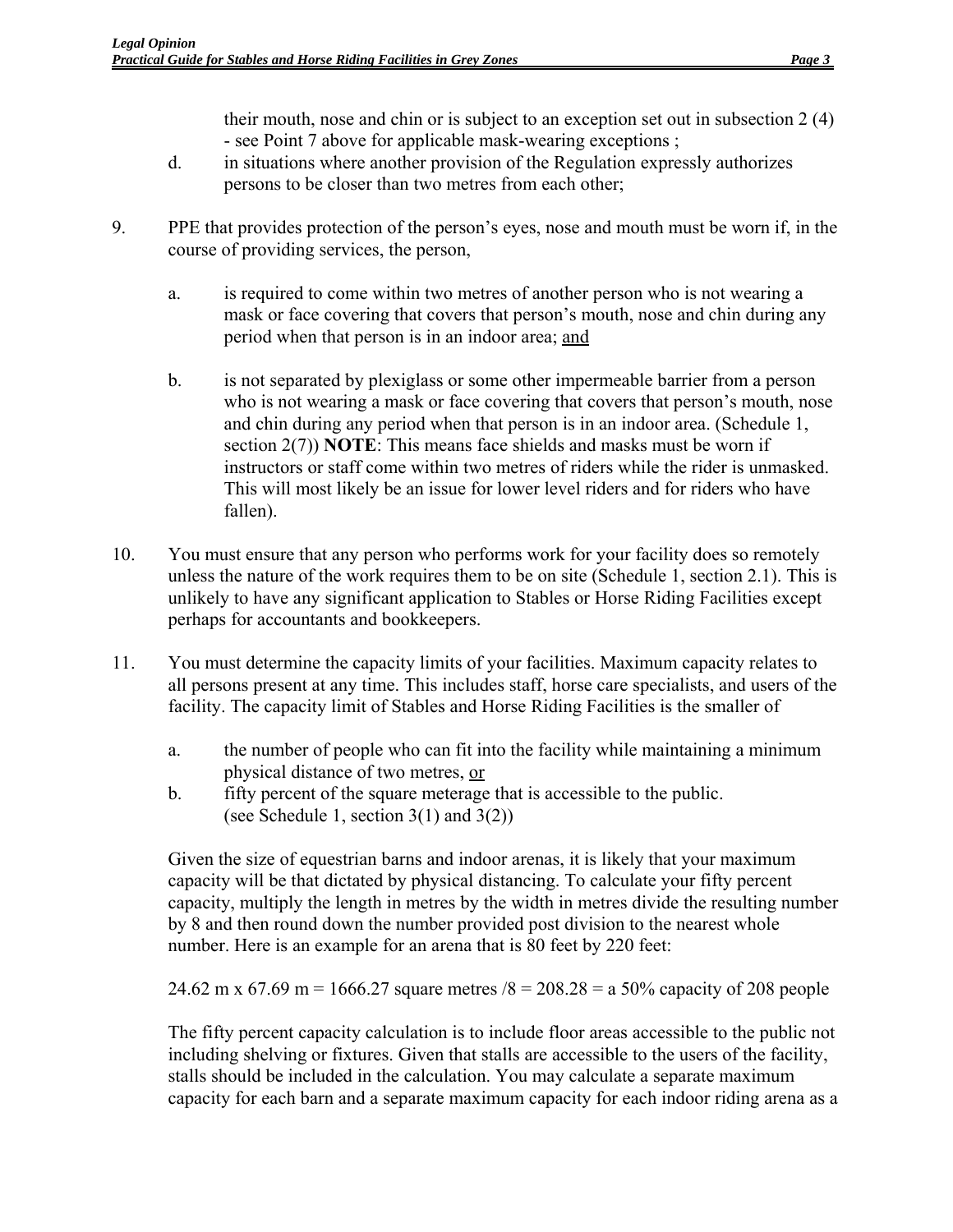their mouth, nose and chin or is subject to an exception set out in subsection 2 (4) - see Point 7 above for applicable mask-wearing exceptions ;

- d. in situations where another provision of the Regulation expressly authorizes persons to be closer than two metres from each other;
- 9. PPE that provides protection of the person's eyes, nose and mouth must be worn if, in the course of providing services, the person,
	- a. is required to come within two metres of another person who is not wearing a mask or face covering that covers that person's mouth, nose and chin during any period when that person is in an indoor area; and
	- b. is not separated by plexiglass or some other impermeable barrier from a person who is not wearing a mask or face covering that covers that person's mouth, nose and chin during any period when that person is in an indoor area. (Schedule 1, section 2(7)) **NOTE**: This means face shields and masks must be worn if instructors or staff come within two metres of riders while the rider is unmasked. This will most likely be an issue for lower level riders and for riders who have fallen).
- 10. You must ensure that any person who performs work for your facility does so remotely unless the nature of the work requires them to be on site (Schedule 1, section 2.1). This is unlikely to have any significant application to Stables or Horse Riding Facilities except perhaps for accountants and bookkeepers.
- 11. You must determine the capacity limits of your facilities. Maximum capacity relates to all persons present at any time. This includes staff, horse care specialists, and users of the facility. The capacity limit of Stables and Horse Riding Facilities is the smaller of
	- a. the number of people who can fit into the facility while maintaining a minimum physical distance of two metres, or
	- b. fifty percent of the square meterage that is accessible to the public. (see Schedule 1, section  $3(1)$  and  $3(2)$ )

Given the size of equestrian barns and indoor arenas, it is likely that your maximum capacity will be that dictated by physical distancing. To calculate your fifty percent capacity, multiply the length in metres by the width in metres divide the resulting number by 8 and then round down the number provided post division to the nearest whole number. Here is an example for an arena that is 80 feet by 220 feet:

24.62 m x 67.69 m = 1666.27 square metres  $/8 = 208.28 = a\,50\%$  capacity of 208 people

The fifty percent capacity calculation is to include floor areas accessible to the public not including shelving or fixtures. Given that stalls are accessible to the users of the facility, stalls should be included in the calculation. You may calculate a separate maximum capacity for each barn and a separate maximum capacity for each indoor riding arena as a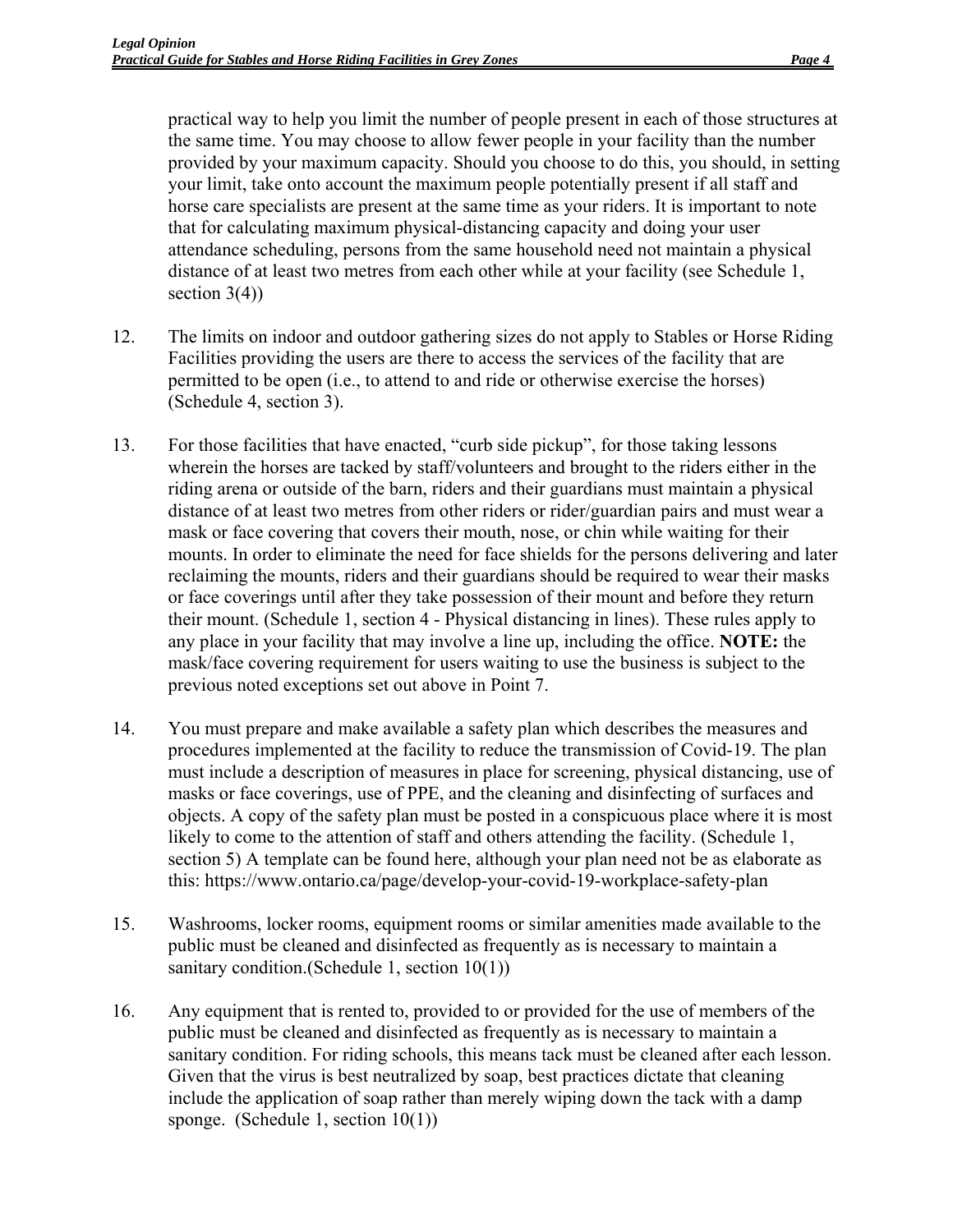practical way to help you limit the number of people present in each of those structures at the same time. You may choose to allow fewer people in your facility than the number provided by your maximum capacity. Should you choose to do this, you should, in setting your limit, take onto account the maximum people potentially present if all staff and horse care specialists are present at the same time as your riders. It is important to note that for calculating maximum physical-distancing capacity and doing your user attendance scheduling, persons from the same household need not maintain a physical distance of at least two metres from each other while at your facility (see Schedule 1, section  $3(4)$ )

- 12. The limits on indoor and outdoor gathering sizes do not apply to Stables or Horse Riding Facilities providing the users are there to access the services of the facility that are permitted to be open (i.e., to attend to and ride or otherwise exercise the horses) (Schedule 4, section 3).
- 13. For those facilities that have enacted, "curb side pickup", for those taking lessons wherein the horses are tacked by staff/volunteers and brought to the riders either in the riding arena or outside of the barn, riders and their guardians must maintain a physical distance of at least two metres from other riders or rider/guardian pairs and must wear a mask or face covering that covers their mouth, nose, or chin while waiting for their mounts. In order to eliminate the need for face shields for the persons delivering and later reclaiming the mounts, riders and their guardians should be required to wear their masks or face coverings until after they take possession of their mount and before they return their mount. (Schedule 1, section 4 - Physical distancing in lines). These rules apply to any place in your facility that may involve a line up, including the office. **NOTE:** the mask/face covering requirement for users waiting to use the business is subject to the previous noted exceptions set out above in Point 7.
- 14. You must prepare and make available a safety plan which describes the measures and procedures implemented at the facility to reduce the transmission of Covid-19. The plan must include a description of measures in place for screening, physical distancing, use of masks or face coverings, use of PPE, and the cleaning and disinfecting of surfaces and objects. A copy of the safety plan must be posted in a conspicuous place where it is most likely to come to the attention of staff and others attending the facility. (Schedule 1, section 5) A template can be found here, although your plan need not be as elaborate as this: https://www.ontario.ca/page/develop-your-covid-19-workplace-safety-plan
- 15. Washrooms, locker rooms, equipment rooms or similar amenities made available to the public must be cleaned and disinfected as frequently as is necessary to maintain a sanitary condition.(Schedule 1, section 10(1))
- 16. Any equipment that is rented to, provided to or provided for the use of members of the public must be cleaned and disinfected as frequently as is necessary to maintain a sanitary condition. For riding schools, this means tack must be cleaned after each lesson. Given that the virus is best neutralized by soap, best practices dictate that cleaning include the application of soap rather than merely wiping down the tack with a damp sponge. (Schedule 1, section 10(1))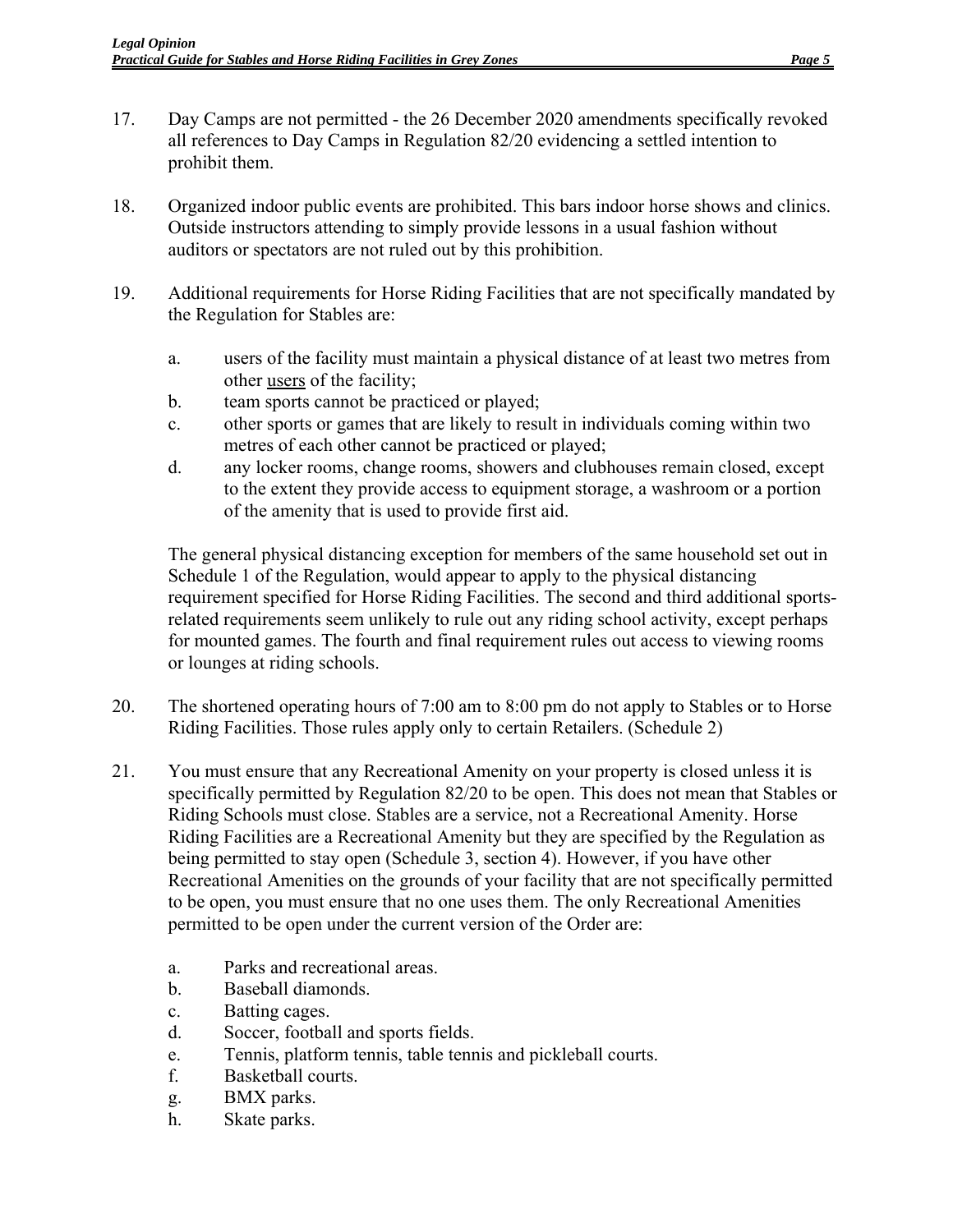- 17. Day Camps are not permitted the 26 December 2020 amendments specifically revoked all references to Day Camps in Regulation 82/20 evidencing a settled intention to prohibit them.
- 18. Organized indoor public events are prohibited. This bars indoor horse shows and clinics. Outside instructors attending to simply provide lessons in a usual fashion without auditors or spectators are not ruled out by this prohibition.
- 19. Additional requirements for Horse Riding Facilities that are not specifically mandated by the Regulation for Stables are:
	- a. users of the facility must maintain a physical distance of at least two metres from other users of the facility;
	- b. team sports cannot be practiced or played;
	- c. other sports or games that are likely to result in individuals coming within two metres of each other cannot be practiced or played;
	- d. any locker rooms, change rooms, showers and clubhouses remain closed, except to the extent they provide access to equipment storage, a washroom or a portion of the amenity that is used to provide first aid.

The general physical distancing exception for members of the same household set out in Schedule 1 of the Regulation, would appear to apply to the physical distancing requirement specified for Horse Riding Facilities. The second and third additional sportsrelated requirements seem unlikely to rule out any riding school activity, except perhaps for mounted games. The fourth and final requirement rules out access to viewing rooms or lounges at riding schools.

- 20. The shortened operating hours of 7:00 am to 8:00 pm do not apply to Stables or to Horse Riding Facilities. Those rules apply only to certain Retailers. (Schedule 2)
- 21. You must ensure that any Recreational Amenity on your property is closed unless it is specifically permitted by Regulation 82/20 to be open. This does not mean that Stables or Riding Schools must close. Stables are a service, not a Recreational Amenity. Horse Riding Facilities are a Recreational Amenity but they are specified by the Regulation as being permitted to stay open (Schedule 3, section 4). However, if you have other Recreational Amenities on the grounds of your facility that are not specifically permitted to be open, you must ensure that no one uses them. The only Recreational Amenities permitted to be open under the current version of the Order are:
	- a. Parks and recreational areas.
	- b. Baseball diamonds.
	- c. Batting cages.
	- d. Soccer, football and sports fields.
	- e. Tennis, platform tennis, table tennis and pickleball courts.
	- f. Basketball courts.
	- g. BMX parks.
	- h. Skate parks.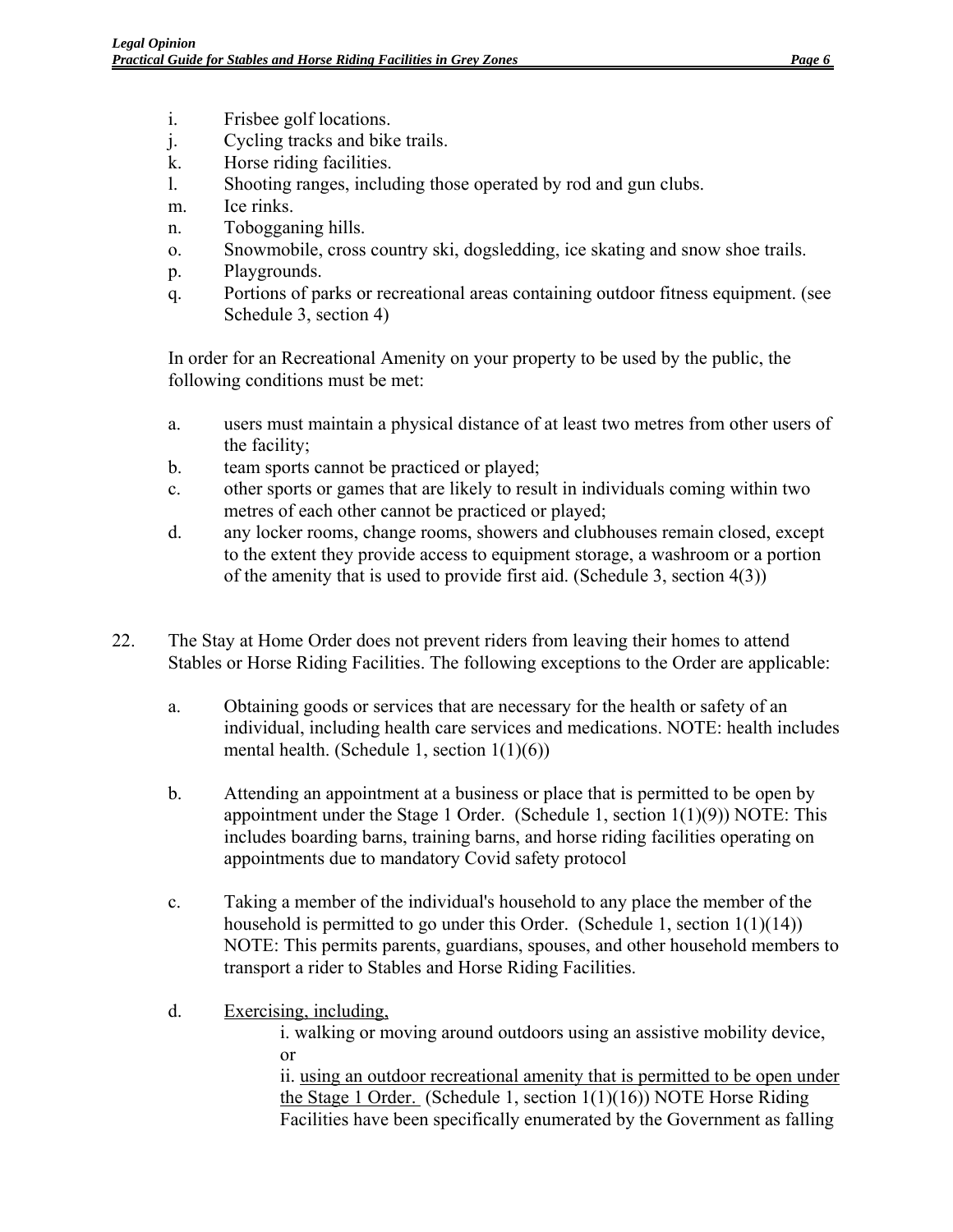- i. Frisbee golf locations.
- j. Cycling tracks and bike trails.
- k. Horse riding facilities.
- l. Shooting ranges, including those operated by rod and gun clubs.
- m. Ice rinks.
- n. Tobogganing hills.
- o. Snowmobile, cross country ski, dogsledding, ice skating and snow shoe trails.
- p. Playgrounds.
- q. Portions of parks or recreational areas containing outdoor fitness equipment. (see Schedule 3, section 4)

In order for an Recreational Amenity on your property to be used by the public, the following conditions must be met:

- a. users must maintain a physical distance of at least two metres from other users of the facility;
- b. team sports cannot be practiced or played;
- c. other sports or games that are likely to result in individuals coming within two metres of each other cannot be practiced or played;
- d. any locker rooms, change rooms, showers and clubhouses remain closed, except to the extent they provide access to equipment storage, a washroom or a portion of the amenity that is used to provide first aid. (Schedule 3, section 4(3))
- 22. The Stay at Home Order does not prevent riders from leaving their homes to attend Stables or Horse Riding Facilities. The following exceptions to the Order are applicable:
	- a. Obtaining goods or services that are necessary for the health or safety of an individual, including health care services and medications. NOTE: health includes mental health. (Schedule 1, section 1(1)(6))
	- b. Attending an appointment at a business or place that is permitted to be open by appointment under the Stage 1 Order. (Schedule 1, section  $1(1)(9)$ ) NOTE: This includes boarding barns, training barns, and horse riding facilities operating on appointments due to mandatory Covid safety protocol
	- c. Taking a member of the individual's household to any place the member of the household is permitted to go under this Order. (Schedule 1, section  $1(1)(14)$ ) NOTE: This permits parents, guardians, spouses, and other household members to transport a rider to Stables and Horse Riding Facilities.
	- d. Exercising, including,

i. walking or moving around outdoors using an assistive mobility device, or

ii. using an outdoor recreational amenity that is permitted to be open under the Stage 1 Order. (Schedule 1, section 1(1)(16)) NOTE Horse Riding Facilities have been specifically enumerated by the Government as falling